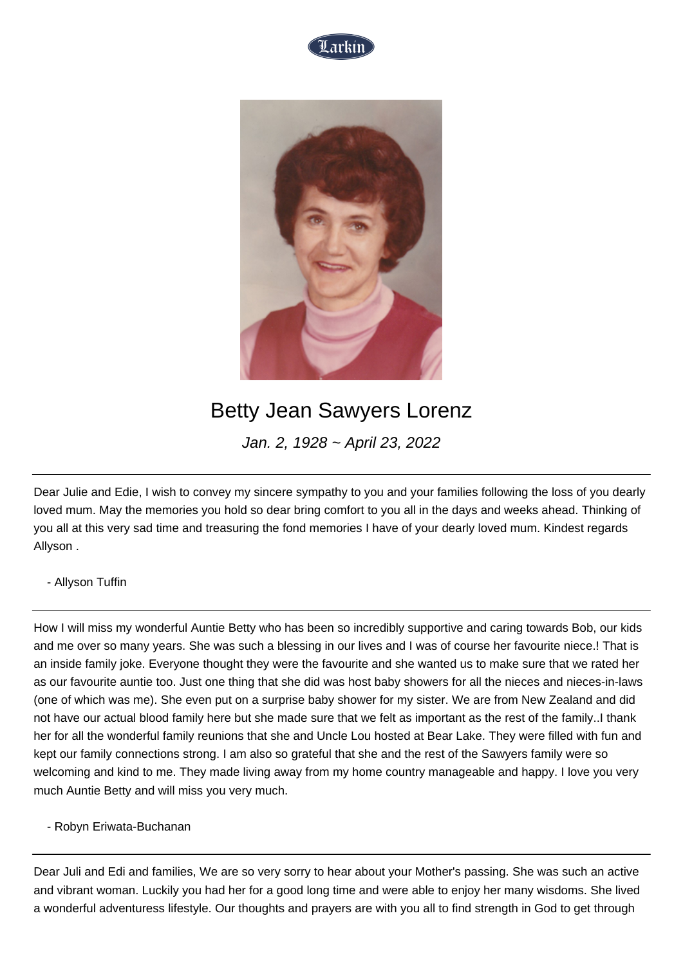



## Betty Jean Sawyers Lorenz

Jan. 2, 1928 ~ April 23, 2022

Dear Julie and Edie, I wish to convey my sincere sympathy to you and your families following the loss of you dearly loved mum. May the memories you hold so dear bring comfort to you all in the days and weeks ahead. Thinking of you all at this very sad time and treasuring the fond memories I have of your dearly loved mum. Kindest regards Allyson .

## - Allyson Tuffin

How I will miss my wonderful Auntie Betty who has been so incredibly supportive and caring towards Bob, our kids and me over so many years. She was such a blessing in our lives and I was of course her favourite niece.! That is an inside family joke. Everyone thought they were the favourite and she wanted us to make sure that we rated her as our favourite auntie too. Just one thing that she did was host baby showers for all the nieces and nieces-in-laws (one of which was me). She even put on a surprise baby shower for my sister. We are from New Zealand and did not have our actual blood family here but she made sure that we felt as important as the rest of the family..I thank her for all the wonderful family reunions that she and Uncle Lou hosted at Bear Lake. They were filled with fun and kept our family connections strong. I am also so grateful that she and the rest of the Sawyers family were so welcoming and kind to me. They made living away from my home country manageable and happy. I love you very much Auntie Betty and will miss you very much.

- Robyn Eriwata-Buchanan

Dear Juli and Edi and families, We are so very sorry to hear about your Mother's passing. She was such an active and vibrant woman. Luckily you had her for a good long time and were able to enjoy her many wisdoms. She lived a wonderful adventuress lifestyle. Our thoughts and prayers are with you all to find strength in God to get through